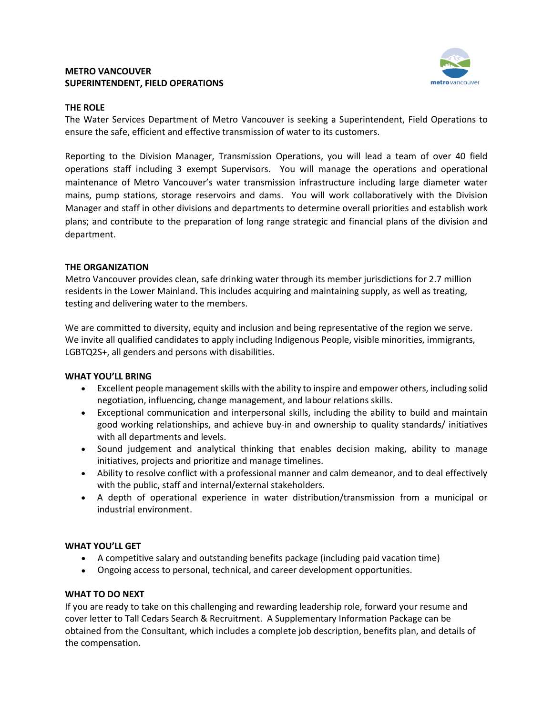## **METRO VANCOUVER SUPERINTENDENT, FIELD OPERATIONS**



#### **THE ROLE**

The Water Services Department of Metro Vancouver is seeking a Superintendent, Field Operations to ensure the safe, efficient and effective transmission of water to its customers.

Reporting to the Division Manager, Transmission Operations, you will lead a team of over 40 field operations staff including 3 exempt Supervisors. You will manage the operations and operational maintenance of Metro Vancouver's water transmission infrastructure including large diameter water mains, pump stations, storage reservoirs and dams. You will work collaboratively with the Division Manager and staff in other divisions and departments to determine overall priorities and establish work plans; and contribute to the preparation of long range strategic and financial plans of the division and department.

# **THE ORGANIZATION**

Metro Vancouver provides clean, safe drinking water through its member jurisdictions for 2.7 million residents in the Lower Mainland. This includes acquiring and maintaining supply, as well as treating, testing and delivering water to the members.

We are committed to diversity, equity and inclusion and being representative of the region we serve. We invite all qualified candidates to apply including Indigenous People, visible minorities, immigrants, LGBTQ2S+, all genders and persons with disabilities.

## **WHAT YOU'LL BRING**

- Excellent people management skills with the ability to inspire and empower others, including solid negotiation, influencing, change management, and labour relations skills.
- Exceptional communication and interpersonal skills, including the ability to build and maintain good working relationships, and achieve buy-in and ownership to quality standards/ initiatives with all departments and levels.
- Sound judgement and analytical thinking that enables decision making, ability to manage initiatives, projects and prioritize and manage timelines.
- Ability to resolve conflict with a professional manner and calm demeanor, and to deal effectively with the public, staff and internal/external stakeholders.
- A depth of operational experience in water distribution/transmission from a municipal or industrial environment.

## **WHAT YOU'LL GET**

- A competitive salary and outstanding benefits package (including paid vacation time)
- Ongoing access to personal, technical, and career development opportunities.

## **WHAT TO DO NEXT**

If you are ready to take on this challenging and rewarding leadership role, forward your resume and cover letter to Tall Cedars Search & Recruitment. A Supplementary Information Package can be obtained from the Consultant, which includes a complete job description, benefits plan, and details of the compensation.